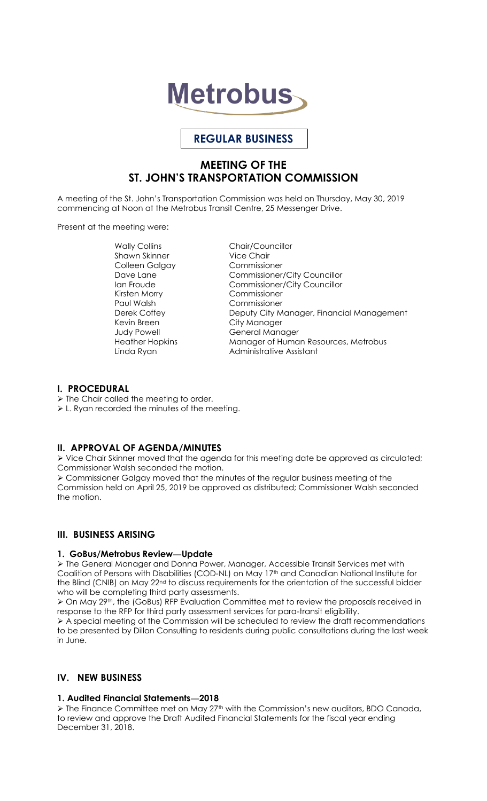

# **REGULAR BUSINESS**

# **MEETING OF THE ST. JOHN'S TRANSPORTATION COMMISSION**

A meeting of the St. John's Transportation Commission was held on Thursday, May 30, 2019 commencing at Noon at the Metrobus Transit Centre, 25 Messenger Drive.

Present at the meeting were:

Shawn Skinner Vice Chair Colleen Galgay Kirsten Morry Commissioner Paul Walsh Commissioner Kevin Breen City Manager

Wally Collins **Chair/Councillor** Dave Lane Commissioner/City Councillor Ian Froude Commissioner/City Councillor Derek Coffey **Deputy City Manager, Financial Management** General Manager Heather Hopkins Manager of Human Resources, Metrobus Linda Ryan **Administrative Assistant** 

#### **I. PROCEDURAL**

- $\triangleright$  The Chair called the meeting to order.
- L. Ryan recorded the minutes of the meeting.

## **II. APPROVAL OF AGENDA/MINUTES**

 Vice Chair Skinner moved that the agenda for this meeting date be approved as circulated; Commissioner Walsh seconded the motion.

 Commissioner Galgay moved that the minutes of the regular business meeting of the Commission held on April 25, 2019 be approved as distributed; Commissioner Walsh seconded the motion.

## **III. BUSINESS ARISING**

## **1. GoBus/Metrobus Review—Update**

 The General Manager and Donna Power, Manager, Accessible Transit Services met with Coalition of Persons with Disabilities (COD-NL) on May 17th and Canadian National Institute for the Blind (CNIB) on May 22<sup>nd</sup> to discuss requirements for the orientation of the successful bidder who will be completing third party assessments.

 $\geq$  On May 29<sup>th</sup>, the (GoBus) RFP Evaluation Committee met to review the proposals received in response to the RFP for third party assessment services for para-transit eligibility.

 $\triangleright$  A special meeting of the Commission will be scheduled to review the draft recommendations to be presented by Dillon Consulting to residents during public consultations during the last week in June.

# **IV. NEW BUSINESS**

## **1. Audited Financial Statements—2018**

> The Finance Committee met on May 27<sup>th</sup> with the Commission's new auditors, BDO Canada, to review and approve the Draft Audited Financial Statements for the fiscal year ending December 31, 2018.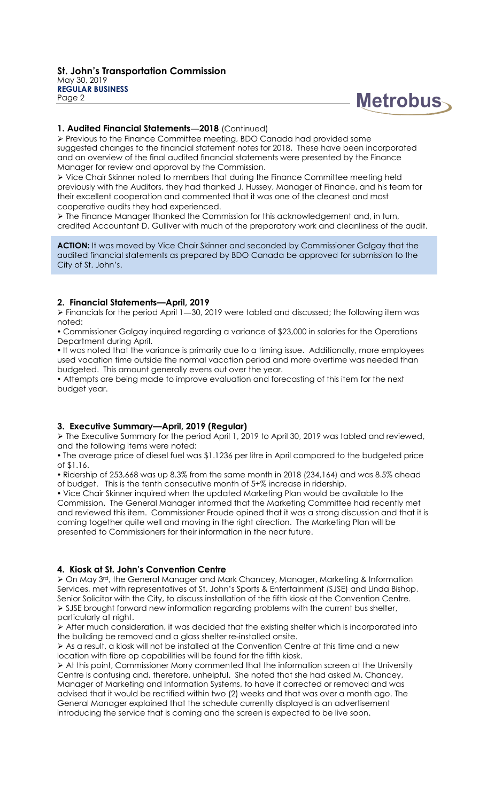

#### **1. Audited Financial Statements—2018** (Continued)

 Previous to the Finance Committee meeting, BDO Canada had provided some suggested changes to the financial statement notes for 2018. These have been incorporated and an overview of the final audited financial statements were presented by the Finance Manager for review and approval by the Commission.

 Vice Chair Skinner noted to members that during the Finance Committee meeting held previously with the Auditors, they had thanked J. Hussey, Manager of Finance, and his team for their excellent cooperation and commented that it was one of the cleanest and most cooperative audits they had experienced.

 $\triangleright$  The Finance Manager thanked the Commission for this acknowledgement and, in turn, credited Accountant D. Gulliver with much of the preparatory work and cleanliness of the audit.

**ACTION:** It was moved by Vice Chair Skinner and seconded by Commissioner Galgay that the audited financial statements as prepared by BDO Canada be approved for submission to the City of St. John's.

#### **2. Financial Statements—April, 2019**

 $\triangleright$  Financials for the period April 1–30, 2019 were tabled and discussed; the following item was noted:

 Commissioner Galgay inquired regarding a variance of \$23,000 in salaries for the Operations Department during April.

. It was noted that the variance is primarily due to a timing issue. Additionally, more employees used vacation time outside the normal vacation period and more overtime was needed than budgeted. This amount generally evens out over the year.

 Attempts are being made to improve evaluation and forecasting of this item for the next budget year.

## **3. Executive Summary—April, 2019 (Regular)**

 The Executive Summary for the period April 1, 2019 to April 30, 2019 was tabled and reviewed, and the following items were noted:

 The average price of diesel fuel was \$1.1236 per litre in April compared to the budgeted price of \$1.16.

 Ridership of 253,668 was up 8.3% from the same month in 2018 (234,164) and was 8.5% ahead of budget. This is the tenth consecutive month of 5+% increase in ridership.

 Vice Chair Skinner inquired when the updated Marketing Plan would be available to the Commission. The General Manager informed that the Marketing Committee had recently met and reviewed this item. Commissioner Froude opined that it was a strong discussion and that it is coming together quite well and moving in the right direction. The Marketing Plan will be presented to Commissioners for their information in the near future.

#### **4. Kiosk at St. John's Convention Centre**

 On May 3rd, the General Manager and Mark Chancey, Manager, Marketing & Information Services, met with representatives of St. John's Sports & Entertainment (SJSE) and Linda Bishop, Senior Solicitor with the City, to discuss installation of the fifth kiosk at the Convention Centre. SJSE brought forward new information regarding problems with the current bus shelter, particularly at night.

 $\triangleright$  After much consideration, it was decided that the existing shelter which is incorporated into the building be removed and a glass shelter re-installed onsite.

 $\triangleright$  As a result, a kiosk will not be installed at the Convention Centre at this time and a new location with fibre op capabilities will be found for the fifth kiosk.

 At this point, Commissioner Morry commented that the information screen at the University Centre is confusing and, therefore, unhelpful. She noted that she had asked M. Chancey, Manager of Marketing and Information Systems, to have it corrected or removed and was advised that it would be rectified within two (2) weeks and that was over a month ago. The General Manager explained that the schedule currently displayed is an advertisement introducing the service that is coming and the screen is expected to be live soon.